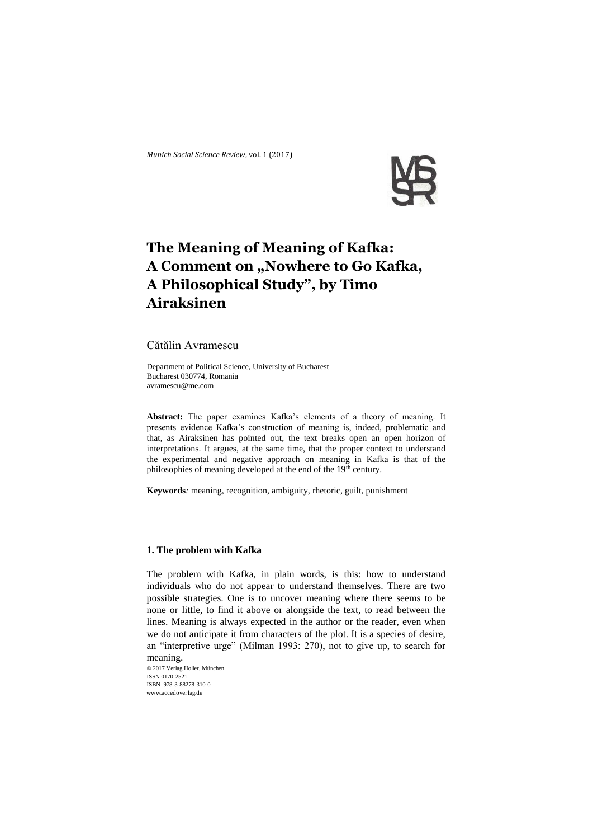

# **The Meaning of Meaning of Kafka: A Comment on "Nowhere to Go Kafka, A Philosophical Study", by Timo Airaksinen**

Cătălin Avramescu

Department of Political Science, University of Bucharest Bucharest 030774, Romania [avramescu@me.com](mailto:avramescu@me.com)

**Abstract:** The paper examines Kafka's elements of a theory of meaning. It presents evidence Kafka's construction of meaning is, indeed, problematic and that, as Airaksinen has pointed out, the text breaks open an open horizon of interpretations. It argues, at the same time, that the proper context to understand the experimental and negative approach on meaning in Kafka is that of the philosophies of meaning developed at the end of the 19<sup>th</sup> century.

**Keywords***:* meaning, recognition, ambiguity, rhetoric, guilt, punishment

## **1. The problem with Kafka**

The problem with Kafka, in plain words, is this: how to understand individuals who do not appear to understand themselves. There are two possible strategies. One is to uncover meaning where there seems to be none or little, to find it above or alongside the text, to read between the lines. Meaning is always expected in the author or the reader, even when we do not anticipate it from characters of the plot. It is a species of desire, an "interpretive urge" (Milman 1993: 270), not to give up, to search for meaning.

© 2017 Verlag Holler, München. ISSN 0170-2521 ISBN 978-3-88278-310-0 www.accedoverlag.de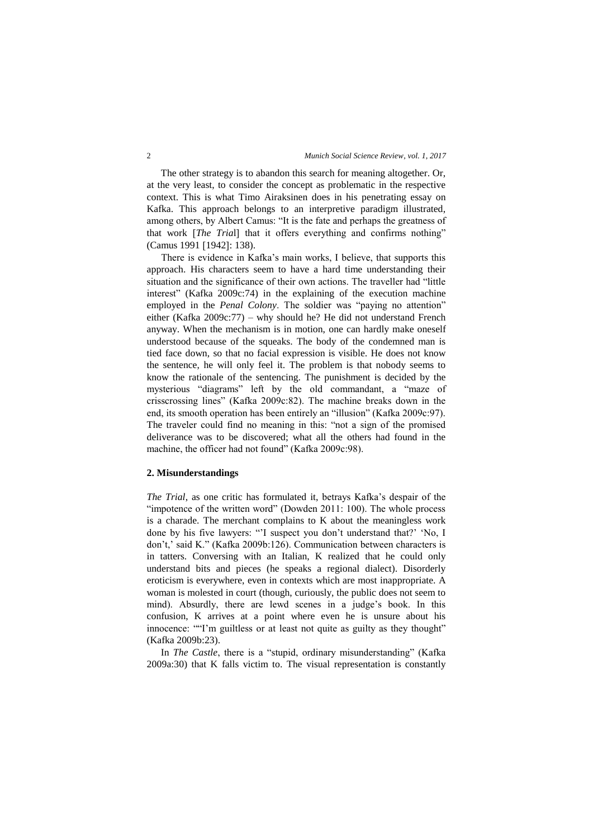The other strategy is to abandon this search for meaning altogether. Or, at the very least, to consider the concept as problematic in the respective context. This is what Timo Airaksinen does in his penetrating essay on Kafka. This approach belongs to an interpretive paradigm illustrated, among others, by Albert Camus: "It is the fate and perhaps the greatness of that work [The Trial] that it offers everything and confirms nothing" (Camus 1991 [1942]: 138).

There is evidence in Kafka's main works, I believe, that supports this approach. His characters seem to have a hard time understanding their situation and the significance of their own actions. The traveller had "little interest" (Kafka 2009c:74) in the explaining of the execution machine employed in the *Penal Colony*. The soldier was "paying no attention" either (Kafka 2009c:77) – why should he? He did not understand French anyway. When the mechanism is in motion, one can hardly make oneself understood because of the squeaks. The body of the condemned man is tied face down, so that no facial expression is visible. He does not know the sentence, he will only feel it. The problem is that nobody seems to know the rationale of the sentencing. The punishment is decided by the mysterious "diagrams" left by the old commandant, a "maze of crisscrossing lines" (Kafka 2009c:82). The machine breaks down in the end, its smooth operation has been entirely an "illusion" (Kafka 2009c:97). The traveler could find no meaning in this: "not a sign of the promised deliverance was to be discovered; what all the others had found in the machine, the officer had not found" (Kafka 2009c:98).

## **2. Misunderstandings**

*The Trial*, as one critic has formulated it, betrays Kafka's despair of the "impotence of the written word" (Dowden 2011: 100). The whole process is a charade. The merchant complains to K about the meaningless work done by his five lawyers: "'I suspect you don't understand that?' 'No, I don't,' said K." (Kafka 2009b:126). Communication between characters is in tatters. Conversing with an Italian, K realized that he could only understand bits and pieces (he speaks a regional dialect). Disorderly eroticism is everywhere, even in contexts which are most inappropriate. A woman is molested in court (though, curiously, the public does not seem to mind). Absurdly, there are lewd scenes in a judge's book. In this confusion, K arrives at a point where even he is unsure about his innocence: ""I'm guiltless or at least not quite as guilty as they thought" (Kafka 2009b:23).

In *The Castle*, there is a "stupid, ordinary misunderstanding" (Kafka 2009a:30) that K falls victim to. The visual representation is constantly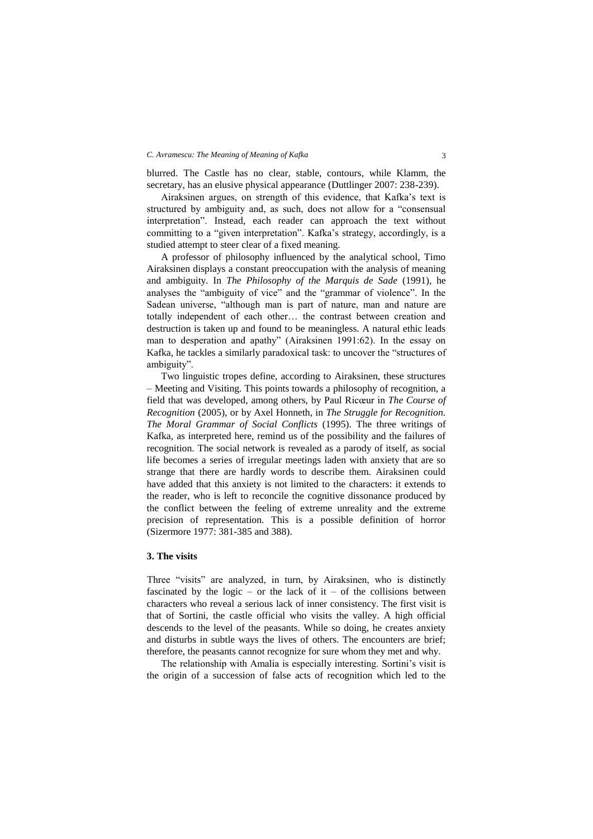#### *C. Avramescu: The Meaning of Meaning of Kafka* 3

blurred. The Castle has no clear, stable, contours, while Klamm, the secretary, has an elusive physical appearance (Duttlinger 2007: 238-239).

Airaksinen argues, on strength of this evidence, that Kafka's text is structured by ambiguity and, as such, does not allow for a "consensual interpretation". Instead, each reader can approach the text without committing to a "given interpretation". Kafka's strategy, accordingly, is a studied attempt to steer clear of a fixed meaning.

A professor of philosophy influenced by the analytical school, Timo Airaksinen displays a constant preoccupation with the analysis of meaning and ambiguity. In *The Philosophy of the Marquis de Sade* (1991), he analyses the "ambiguity of vice" and the "grammar of violence". In the Sadean universe, "although man is part of nature, man and nature are totally independent of each other… the contrast between creation and destruction is taken up and found to be meaningless. A natural ethic leads man to desperation and apathy" (Airaksinen 1991:62). In the essay on Kafka, he tackles a similarly paradoxical task: to uncover the "structures of ambiguity".

Two linguistic tropes define, according to Airaksinen, these structures – Meeting and Visiting. This points towards a philosophy of recognition, a field that was developed, among others, by Paul Ricœur in *The Course of Recognition* (2005), or by Axel Honneth, in *The Struggle for Recognition. The Moral Grammar of Social Conflicts* (1995). The three writings of Kafka, as interpreted here, remind us of the possibility and the failures of recognition. The social network is revealed as a parody of itself, as social life becomes a series of irregular meetings laden with anxiety that are so strange that there are hardly words to describe them. Airaksinen could have added that this anxiety is not limited to the characters: it extends to the reader, who is left to reconcile the cognitive dissonance produced by the conflict between the feeling of extreme unreality and the extreme precision of representation. This is a possible definition of horror (Sizermore 1977: 381-385 and 388).

## **3. The visits**

Three "visits" are analyzed, in turn, by Airaksinen, who is distinctly fascinated by the logic – or the lack of it – of the collisions between characters who reveal a serious lack of inner consistency. The first visit is that of Sortini, the castle official who visits the valley. A high official descends to the level of the peasants. While so doing, he creates anxiety and disturbs in subtle ways the lives of others. The encounters are brief; therefore, the peasants cannot recognize for sure whom they met and why.

The relationship with Amalia is especially interesting. Sortini's visit is the origin of a succession of false acts of recognition which led to the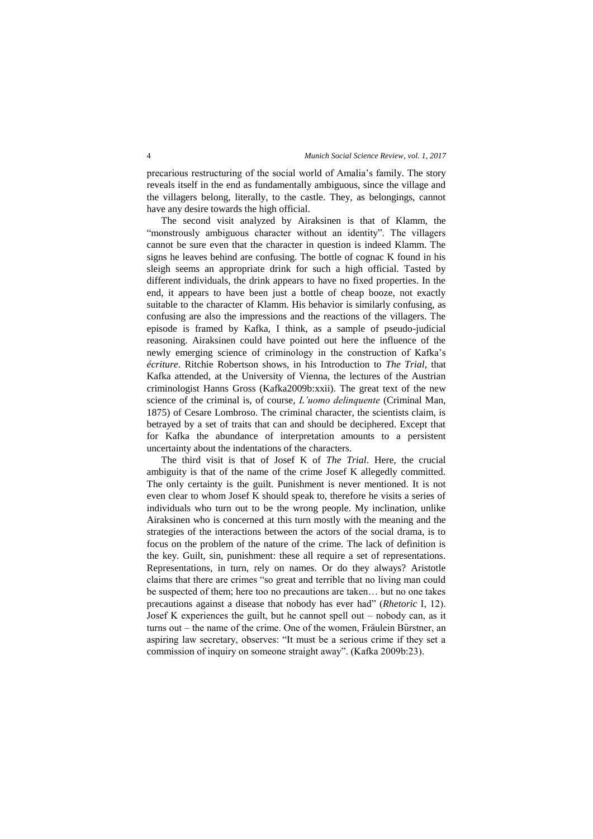precarious restructuring of the social world of Amalia's family. The story reveals itself in the end as fundamentally ambiguous, since the village and the villagers belong, literally, to the castle. They, as belongings, cannot have any desire towards the high official.

The second visit analyzed by Airaksinen is that of Klamm, the "monstrously ambiguous character without an identity". The villagers cannot be sure even that the character in question is indeed Klamm. The signs he leaves behind are confusing. The bottle of cognac K found in his sleigh seems an appropriate drink for such a high official. Tasted by different individuals, the drink appears to have no fixed properties. In the end, it appears to have been just a bottle of cheap booze, not exactly suitable to the character of Klamm. His behavior is similarly confusing, as confusing are also the impressions and the reactions of the villagers. The episode is framed by Kafka, I think, as a sample of pseudo-judicial reasoning. Airaksinen could have pointed out here the influence of the newly emerging science of criminology in the construction of Kafka's *écriture*. Ritchie Robertson shows, in his Introduction to *The Trial*, that Kafka attended, at the University of Vienna, the lectures of the Austrian criminologist Hanns Gross (Kafka2009b:xxii). The great text of the new science of the criminal is, of course, *L'uomo delinquente* (Criminal Man, 1875) of Cesare Lombroso. The criminal character, the scientists claim, is betrayed by a set of traits that can and should be deciphered. Except that for Kafka the abundance of interpretation amounts to a persistent uncertainty about the indentations of the characters.

The third visit is that of Josef K of *The Trial*. Here, the crucial ambiguity is that of the name of the crime Josef K allegedly committed. The only certainty is the guilt. Punishment is never mentioned. It is not even clear to whom Josef K should speak to, therefore he visits a series of individuals who turn out to be the wrong people. My inclination, unlike Airaksinen who is concerned at this turn mostly with the meaning and the strategies of the interactions between the actors of the social drama, is to focus on the problem of the nature of the crime. The lack of definition is the key. Guilt, sin, punishment: these all require a set of representations. Representations, in turn, rely on names. Or do they always? Aristotle claims that there are crimes "so great and terrible that no living man could be suspected of them; here too no precautions are taken… but no one takes precautions against a disease that nobody has ever had" (*Rhetoric* I, 12). Josef K experiences the guilt, but he cannot spell out – nobody can, as it turns out – the name of the crime. One of the women, Fräulein Bürstner, an aspiring law secretary, observes: "It must be a serious crime if they set a commission of inquiry on someone straight away". (Kafka 2009b:23).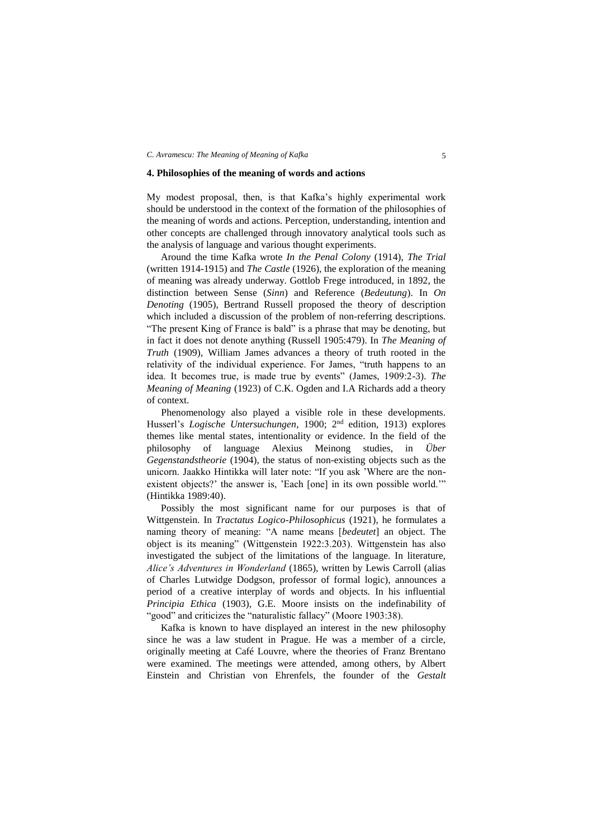#### *C. Avramescu: The Meaning of Meaning of Kafka* 5

## **4. Philosophies of the meaning of words and actions**

My modest proposal, then, is that Kafka's highly experimental work should be understood in the context of the formation of the philosophies of the meaning of words and actions. Perception, understanding, intention and other concepts are challenged through innovatory analytical tools such as the analysis of language and various thought experiments.

Around the time Kafka wrote *In the Penal Colony* (1914), *The Trial* (written 1914-1915) and *The Castle* (1926), the exploration of the meaning of meaning was already underway. Gottlob Frege introduced, in 1892, the distinction between Sense (*Sinn*) and Reference (*Bedeutung*). In *On Denoting* (1905), Bertrand Russell proposed the theory of description which included a discussion of the problem of non-referring descriptions. "The present King of France is bald" is a phrase that may be denoting, but in fact it does not denote anything (Russell 1905:479). In *The Meaning of Truth* (1909), William James advances a theory of truth rooted in the relativity of the individual experience. For James, "truth happens to an idea. It becomes true, is made true by events" (James, 1909:2-3). *The Meaning of Meaning* (1923) of C.K. Ogden and I.A Richards add a theory of context.

Phenomenology also played a visible role in these developments. Husserl's *Logische Untersuchungen*, 1900; 2nd edition, 1913) explores themes like mental states, intentionality or evidence. In the field of the philosophy of language Alexius Meinong studies, in *Über Gegenstandstheorie* (1904), the status of non-existing objects such as the unicorn. Jaakko Hintikka will later note: "If you ask 'Where are the nonexistent objects?' the answer is, 'Each [one] in its own possible world.'" (Hintikka 1989:40).

Possibly the most significant name for our purposes is that of Wittgenstein. In *Tractatus Logico-Philosophicus* (1921), he formulates a naming theory of meaning: "A name means [*bedeutet*] an object. The object is its meaning" (Wittgenstein 1922:3.203). Wittgenstein has also investigated the subject of the limitations of the language. In literature, *Alice's Adventures in Wonderland* (1865), written by Lewis Carroll (alias of Charles Lutwidge Dodgson, professor of formal logic), announces a period of a creative interplay of words and objects. In his influential *Principia Ethica* (1903), G.E. Moore insists on the indefinability of "good" and criticizes the "naturalistic fallacy" (Moore 1903:38).

Kafka is known to have displayed an interest in the new philosophy since he was a law student in Prague. He was a member of a circle, originally meeting at Café Louvre, where the theories of Franz Brentano were examined. The meetings were attended, among others, by Albert Einstein and Christian von Ehrenfels, the founder of the *Gestalt*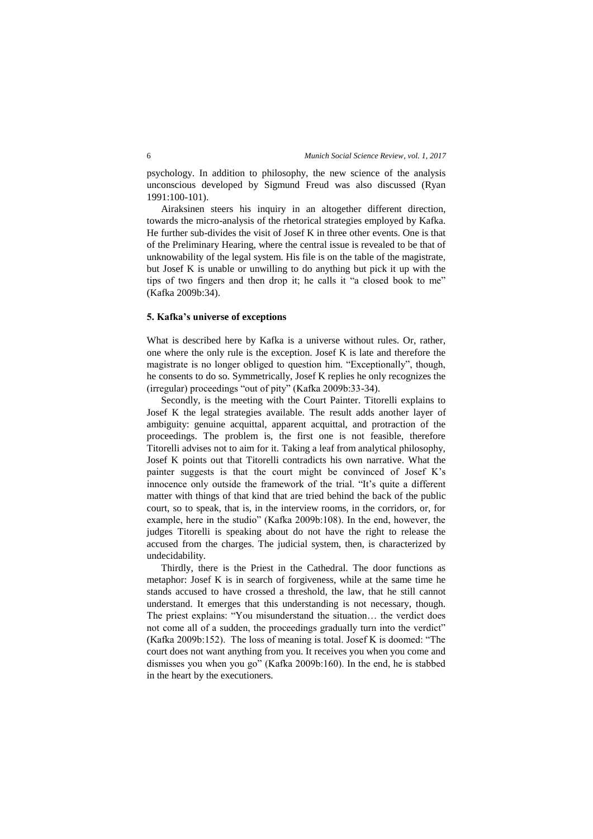psychology. In addition to philosophy, the new science of the analysis unconscious developed by Sigmund Freud was also discussed (Ryan 1991:100-101).

Airaksinen steers his inquiry in an altogether different direction, towards the micro-analysis of the rhetorical strategies employed by Kafka. He further sub-divides the visit of Josef K in three other events. One is that of the Preliminary Hearing, where the central issue is revealed to be that of unknowability of the legal system. His file is on the table of the magistrate, but Josef K is unable or unwilling to do anything but pick it up with the tips of two fingers and then drop it; he calls it "a closed book to me" (Kafka 2009b:34).

## **5. Kafka's universe of exceptions**

What is described here by Kafka is a universe without rules. Or, rather, one where the only rule is the exception. Josef K is late and therefore the magistrate is no longer obliged to question him. "Exceptionally", though, he consents to do so. Symmetrically, Josef K replies he only recognizes the (irregular) proceedings "out of pity" (Kafka 2009b:33-34).

Secondly, is the meeting with the Court Painter. Titorelli explains to Josef K the legal strategies available. The result adds another layer of ambiguity: genuine acquittal, apparent acquittal, and protraction of the proceedings. The problem is, the first one is not feasible, therefore Titorelli advises not to aim for it. Taking a leaf from analytical philosophy, Josef K points out that Titorelli contradicts his own narrative. What the painter suggests is that the court might be convinced of Josef K's innocence only outside the framework of the trial. "It's quite a different matter with things of that kind that are tried behind the back of the public court, so to speak, that is, in the interview rooms, in the corridors, or, for example, here in the studio" (Kafka 2009b:108). In the end, however, the judges Titorelli is speaking about do not have the right to release the accused from the charges. The judicial system, then, is characterized by undecidability.

Thirdly, there is the Priest in the Cathedral. The door functions as metaphor: Josef K is in search of forgiveness, while at the same time he stands accused to have crossed a threshold, the law, that he still cannot understand. It emerges that this understanding is not necessary, though. The priest explains: "You misunderstand the situation… the verdict does not come all of a sudden, the proceedings gradually turn into the verdict" (Kafka 2009b:152). The loss of meaning is total. Josef K is doomed: "The court does not want anything from you. It receives you when you come and dismisses you when you go" (Kafka 2009b:160). In the end, he is stabbed in the heart by the executioners.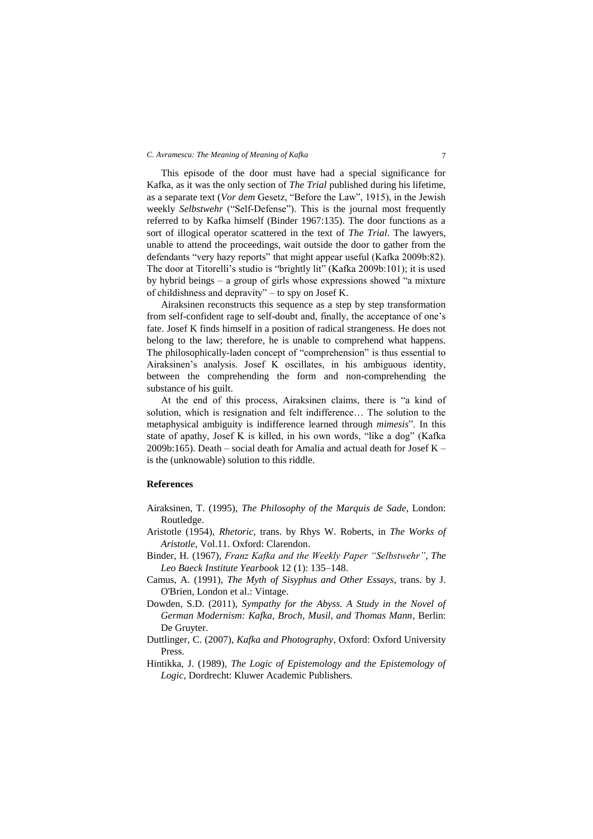#### *C. Avramescu: The Meaning of Meaning of Kafka* 7

This episode of the door must have had a special significance for Kafka, as it was the only section of *The Trial* published during his lifetime, as a separate text (*Vor dem* Gesetz, "Before the Law", 1915), in the Jewish weekly *Selbstwehr* ("Self-Defense"). This is the journal most frequently referred to by Kafka himself (Binder 1967:135). The door functions as a sort of illogical operator scattered in the text of *The Trial*. The lawyers, unable to attend the proceedings, wait outside the door to gather from the defendants "very hazy reports" that might appear useful (Kafka 2009b:82). The door at Titorelli's studio is "brightly lit" (Kafka 2009b:101); it is used by hybrid beings – a group of girls whose expressions showed "a mixture of childishness and depravity" – to spy on Josef K.

Airaksinen reconstructs this sequence as a step by step transformation from self-confident rage to self-doubt and, finally, the acceptance of one's fate. Josef K finds himself in a position of radical strangeness. He does not belong to the law; therefore, he is unable to comprehend what happens. The philosophically-laden concept of "comprehension" is thus essential to Airaksinen's analysis. Josef K oscillates, in his ambiguous identity, between the comprehending the form and non-comprehending the substance of his guilt.

At the end of this process, Airaksinen claims, there is "a kind of solution, which is resignation and felt indifference… The solution to the metaphysical ambiguity is indifference learned through *mimesis*". In this state of apathy, Josef K is killed, in his own words, "like a dog" (Kafka 2009b:165). Death – social death for Amalia and actual death for Josef  $K$ is the (unknowable) solution to this riddle.

# **References**

- Airaksinen, T. (1995), *The Philosophy of the Marquis de Sade*, London: Routledge.
- Aristotle (1954), *Rhetoric*, trans. by Rhys W. Roberts, in *The Works of Aristotle*, Vol.11. Oxford: Clarendon.
- Binder, H. (1967), *Franz Kafka and the Weekly Paper "Selbstwehr"*, *The Leo Baeck Institute Yearbook* 12 (1): 135–148.
- Camus, A. (1991), *The Myth of Sisyphus and Other Essays*, trans. by J. O'Brien, London et al.: Vintage.
- Dowden, S.D. (2011), *Sympathy for the Abyss. A Study in the Novel of German Modernism: Kafka, Broch, Musil, and Thomas Mann*, Berlin: De Gruyter.
- Duttlinger, C. (2007), *Kafka and Photography*, Oxford: Oxford University Press.
- Hintikka, J. (1989), *The Logic of Epistemology and the Epistemology of Logic*, Dordrecht: Kluwer Academic Publishers.